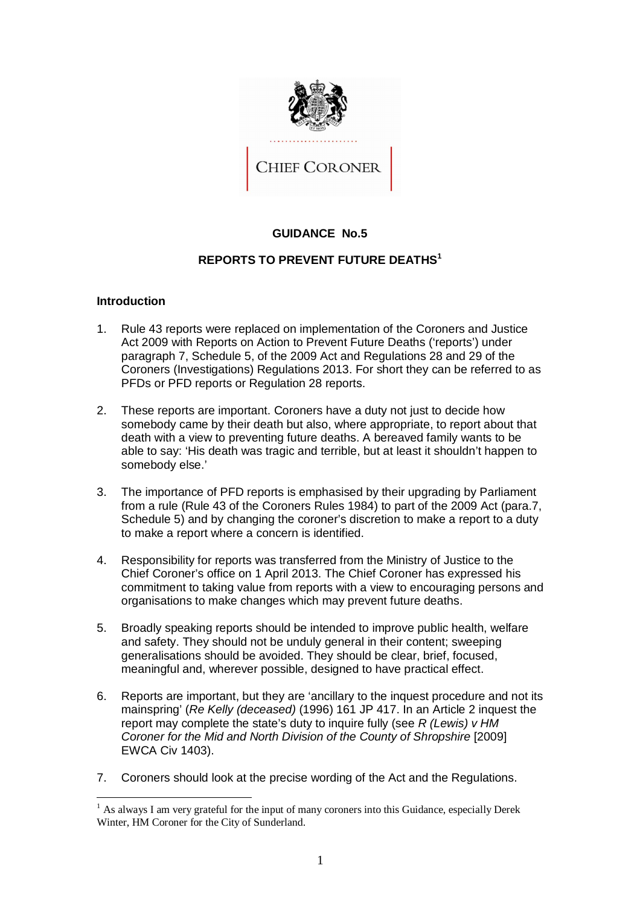

# **GUIDANCE No.5**

# **REPORTS TO PREVENT FUTURE DEATHS<sup>1</sup>**

# **Introduction**

- 1. Rule 43 reports were replaced on implementation of the Coroners and Justice Act 2009 with Reports on Action to Prevent Future Deaths ('reports') under paragraph 7, Schedule 5, of the 2009 Act and Regulations 28 and 29 of the Coroners (Investigations) Regulations 2013. For short they can be referred to as PFDs or PFD reports or Regulation 28 reports.
- 2. These reports are important. Coroners have a duty not just to decide how somebody came by their death but also, where appropriate, to report about that death with a view to preventing future deaths. A bereaved family wants to be able to say: 'His death was tragic and terrible, but at least it shouldn't happen to somebody else.'
- 3. The importance of PFD reports is emphasised by their upgrading by Parliament from a rule (Rule 43 of the Coroners Rules 1984) to part of the 2009 Act (para.7, Schedule 5) and by changing the coroner's discretion to make a report to a duty to make a report where a concern is identified.
- 4. Responsibility for reports was transferred from the Ministry of Justice to the Chief Coroner's office on 1 April 2013. The Chief Coroner has expressed his commitment to taking value from reports with a view to encouraging persons and organisations to make changes which may prevent future deaths.
- 5. Broadly speaking reports should be intended to improve public health, welfare and safety. They should not be unduly general in their content; sweeping generalisations should be avoided. They should be clear, brief, focused, meaningful and, wherever possible, designed to have practical effect.
- 6. Reports are important, but they are 'ancillary to the inquest procedure and not its mainspring' (*Re Kelly (deceased)* (1996) 161 JP 417. In an Article 2 inquest the report may complete the state's duty to inquire fully (see *R (Lewis) v HM Coroner for the Mid and North Division of the County of Shropshire* [2009] EWCA Civ 1403).
- 7. Coroners should look at the precise wording of the Act and the Regulations.

 $\overline{a}$ <sup>1</sup> As always I am very grateful for the input of many coroners into this Guidance, especially Derek Winter, HM Coroner for the City of Sunderland.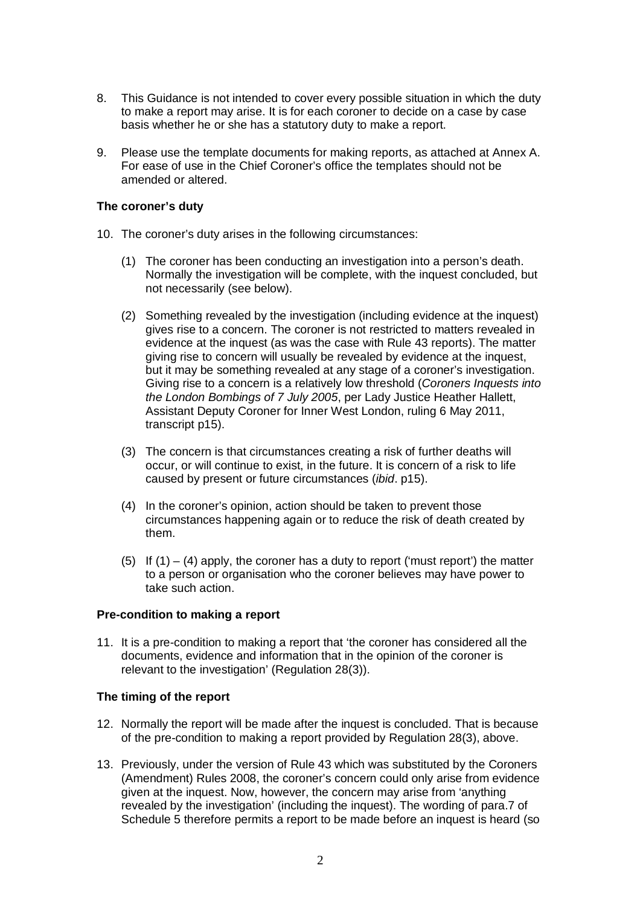- 8. This Guidance is not intended to cover every possible situation in which the duty to make a report may arise. It is for each coroner to decide on a case by case basis whether he or she has a statutory duty to make a report.
- 9. Please use the template documents for making reports, as attached at Annex A. For ease of use in the Chief Coroner's office the templates should not be amended or altered.

# **The coroner's duty**

- 10. The coroner's duty arises in the following circumstances:
	- (1) The coroner has been conducting an investigation into a person's death. Normally the investigation will be complete, with the inquest concluded, but not necessarily (see below).
	- (2) Something revealed by the investigation (including evidence at the inquest) gives rise to a concern. The coroner is not restricted to matters revealed in evidence at the inquest (as was the case with Rule 43 reports). The matter giving rise to concern will usually be revealed by evidence at the inquest, but it may be something revealed at any stage of a coroner's investigation. Giving rise to a concern is a relatively low threshold (*Coroners Inquests into the London Bombings of 7 July 2005*, per Lady Justice Heather Hallett, Assistant Deputy Coroner for Inner West London, ruling 6 May 2011, transcript p15).
	- (3) The concern is that circumstances creating a risk of further deaths will occur, or will continue to exist, in the future. It is concern of a risk to life caused by present or future circumstances (*ibid*. p15).
	- (4) In the coroner's opinion, action should be taken to prevent those circumstances happening again or to reduce the risk of death created by them.
	- (5) If  $(1) (4)$  apply, the coroner has a duty to report ('must report') the matter to a person or organisation who the coroner believes may have power to take such action.

# **Pre-condition to making a report**

11. It is a pre-condition to making a report that 'the coroner has considered all the documents, evidence and information that in the opinion of the coroner is relevant to the investigation' (Regulation 28(3)).

#### **The timing of the report**

- 12. Normally the report will be made after the inquest is concluded. That is because of the pre-condition to making a report provided by Regulation 28(3), above.
- 13. Previously, under the version of Rule 43 which was substituted by the Coroners (Amendment) Rules 2008, the coroner's concern could only arise from evidence given at the inquest. Now, however, the concern may arise from 'anything revealed by the investigation' (including the inquest). The wording of para.7 of Schedule 5 therefore permits a report to be made before an inquest is heard (so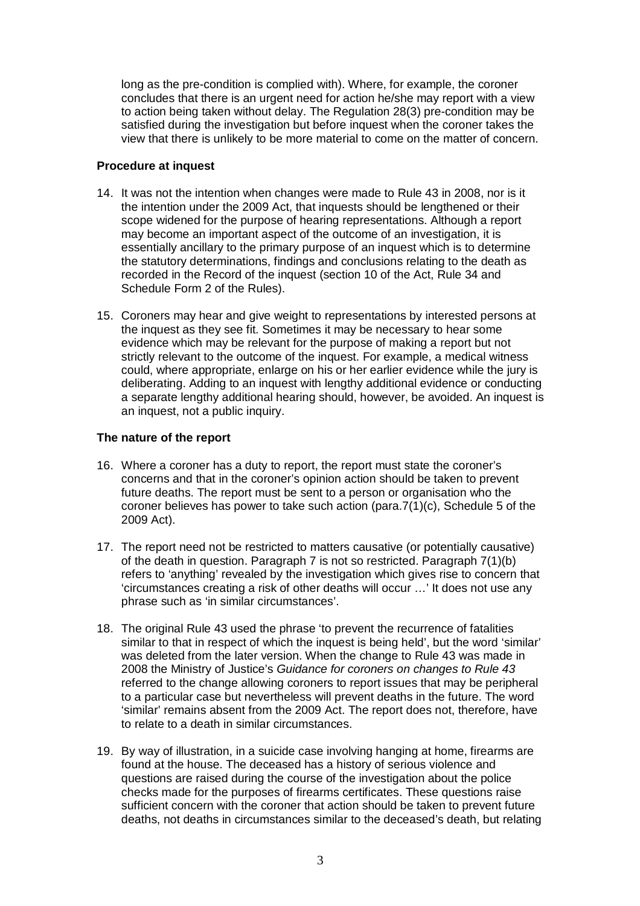long as the pre-condition is complied with). Where, for example, the coroner concludes that there is an urgent need for action he/she may report with a view to action being taken without delay. The Regulation 28(3) pre-condition may be satisfied during the investigation but before inquest when the coroner takes the view that there is unlikely to be more material to come on the matter of concern.

### **Procedure at inquest**

- 14. It was not the intention when changes were made to Rule 43 in 2008, nor is it the intention under the 2009 Act, that inquests should be lengthened or their scope widened for the purpose of hearing representations. Although a report may become an important aspect of the outcome of an investigation, it is essentially ancillary to the primary purpose of an inquest which is to determine the statutory determinations, findings and conclusions relating to the death as recorded in the Record of the inquest (section 10 of the Act, Rule 34 and Schedule Form 2 of the Rules).
- 15. Coroners may hear and give weight to representations by interested persons at the inquest as they see fit. Sometimes it may be necessary to hear some evidence which may be relevant for the purpose of making a report but not strictly relevant to the outcome of the inquest. For example, a medical witness could, where appropriate, enlarge on his or her earlier evidence while the jury is deliberating. Adding to an inquest with lengthy additional evidence or conducting a separate lengthy additional hearing should, however, be avoided. An inquest is an inquest, not a public inquiry.

# **The nature of the report**

- 16. Where a coroner has a duty to report, the report must state the coroner's concerns and that in the coroner's opinion action should be taken to prevent future deaths. The report must be sent to a person or organisation who the coroner believes has power to take such action (para.7(1)(c), Schedule 5 of the 2009 Act).
- 17. The report need not be restricted to matters causative (or potentially causative) of the death in question. Paragraph 7 is not so restricted. Paragraph 7(1)(b) refers to 'anything' revealed by the investigation which gives rise to concern that 'circumstances creating a risk of other deaths will occur …' It does not use any phrase such as 'in similar circumstances'.
- 18. The original Rule 43 used the phrase 'to prevent the recurrence of fatalities similar to that in respect of which the inquest is being held', but the word 'similar' was deleted from the later version. When the change to Rule 43 was made in 2008 the Ministry of Justice's *Guidance for coroners on changes to Rule 43* referred to the change allowing coroners to report issues that may be peripheral to a particular case but nevertheless will prevent deaths in the future. The word 'similar' remains absent from the 2009 Act. The report does not, therefore, have to relate to a death in similar circumstances.
- 19. By way of illustration, in a suicide case involving hanging at home, firearms are found at the house. The deceased has a history of serious violence and questions are raised during the course of the investigation about the police checks made for the purposes of firearms certificates. These questions raise sufficient concern with the coroner that action should be taken to prevent future deaths, not deaths in circumstances similar to the deceased's death, but relating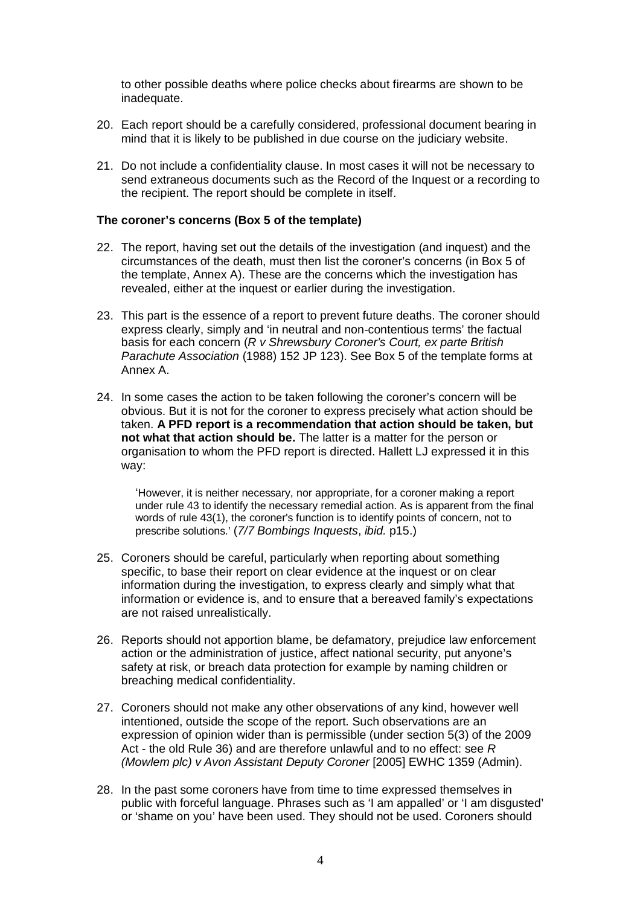to other possible deaths where police checks about firearms are shown to be inadequate.

- 20. Each report should be a carefully considered, professional document bearing in mind that it is likely to be published in due course on the judiciary website.
- 21. Do not include a confidentiality clause. In most cases it will not be necessary to send extraneous documents such as the Record of the Inquest or a recording to the recipient. The report should be complete in itself.

#### **The coroner's concerns (Box 5 of the template)**

- 22. The report, having set out the details of the investigation (and inquest) and the circumstances of the death, must then list the coroner's concerns (in Box 5 of the template, Annex A). These are the concerns which the investigation has revealed, either at the inquest or earlier during the investigation.
- 23. This part is the essence of a report to prevent future deaths. The coroner should express clearly, simply and 'in neutral and non-contentious terms' the factual basis for each concern (*R v Shrewsbury Coroner's Court, ex parte British Parachute Association* (1988) 152 JP 123). See Box 5 of the template forms at Annex A.
- 24. In some cases the action to be taken following the coroner's concern will be obvious. But it is not for the coroner to express precisely what action should be taken. **A PFD report is a recommendation that action should be taken, but not what that action should be.** The latter is a matter for the person or organisation to whom the PFD report is directed. Hallett LJ expressed it in this way:

'However, it is neither necessary, nor appropriate, for a coroner making a report under rule 43 to identify the necessary remedial action. As is apparent from the final words of rule 43(1), the coroner's function is to identify points of concern, not to prescribe solutions.' (*7/7 Bombings Inquests*, *ibid.* p15.)

- 25. Coroners should be careful, particularly when reporting about something specific, to base their report on clear evidence at the inquest or on clear information during the investigation, to express clearly and simply what that information or evidence is, and to ensure that a bereaved family's expectations are not raised unrealistically.
- 26. Reports should not apportion blame, be defamatory, prejudice law enforcement action or the administration of justice, affect national security, put anyone's safety at risk, or breach data protection for example by naming children or breaching medical confidentiality.
- 27. Coroners should not make any other observations of any kind, however well intentioned, outside the scope of the report. Such observations are an expression of opinion wider than is permissible (under section 5(3) of the 2009 Act - the old Rule 36) and are therefore unlawful and to no effect: see *R (Mowlem plc) v Avon Assistant Deputy Coroner* [2005] EWHC 1359 (Admin).
- 28. In the past some coroners have from time to time expressed themselves in public with forceful language. Phrases such as 'I am appalled' or 'I am disgusted' or 'shame on you' have been used. They should not be used. Coroners should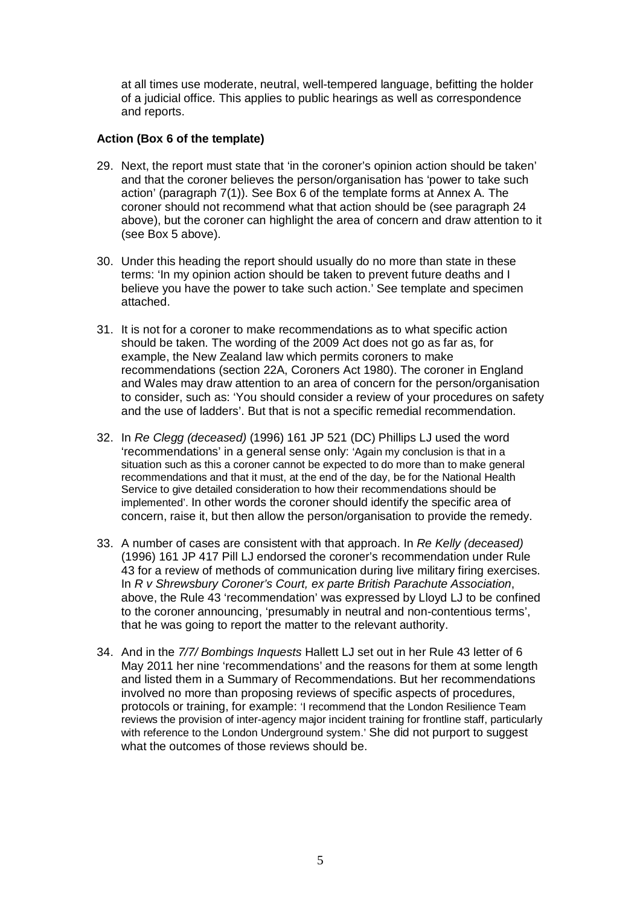at all times use moderate, neutral, well-tempered language, befitting the holder of a judicial office. This applies to public hearings as well as correspondence and reports.

# **Action (Box 6 of the template)**

- 29. Next, the report must state that 'in the coroner's opinion action should be taken' and that the coroner believes the person/organisation has 'power to take such action' (paragraph 7(1)). See Box 6 of the template forms at Annex A. The coroner should not recommend what that action should be (see paragraph 24 above), but the coroner can highlight the area of concern and draw attention to it (see Box 5 above).
- 30. Under this heading the report should usually do no more than state in these terms: 'In my opinion action should be taken to prevent future deaths and I believe you have the power to take such action.' See template and specimen attached.
- 31. It is not for a coroner to make recommendations as to what specific action should be taken. The wording of the 2009 Act does not go as far as, for example, the New Zealand law which permits coroners to make recommendations (section 22A, Coroners Act 1980). The coroner in England and Wales may draw attention to an area of concern for the person/organisation to consider, such as: 'You should consider a review of your procedures on safety and the use of ladders'. But that is not a specific remedial recommendation.
- 32. In *Re Clegg (deceased)* (1996) 161 JP 521 (DC) Phillips LJ used the word 'recommendations' in a general sense only: 'Again my conclusion is that in a situation such as this a coroner cannot be expected to do more than to make general recommendations and that it must, at the end of the day, be for the National Health Service to give detailed consideration to how their recommendations should be implemented'. In other words the coroner should identify the specific area of concern, raise it, but then allow the person/organisation to provide the remedy.
- 33. A number of cases are consistent with that approach. In *Re Kelly (deceased)* (1996) 161 JP 417 Pill LJ endorsed the coroner's recommendation under Rule 43 for a review of methods of communication during live military firing exercises. In *R v Shrewsbury Coroner's Court, ex parte British Parachute Association*, above, the Rule 43 'recommendation' was expressed by Lloyd LJ to be confined to the coroner announcing, 'presumably in neutral and non-contentious terms', that he was going to report the matter to the relevant authority.
- 34. And in the *7/7/ Bombings Inquests* Hallett LJ set out in her Rule 43 letter of 6 May 2011 her nine 'recommendations' and the reasons for them at some length and listed them in a Summary of Recommendations. But her recommendations involved no more than proposing reviews of specific aspects of procedures, protocols or training, for example: 'I recommend that the London Resilience Team reviews the provision of inter-agency major incident training for frontline staff, particularly with reference to the London Underground system.' She did not purport to suggest what the outcomes of those reviews should be.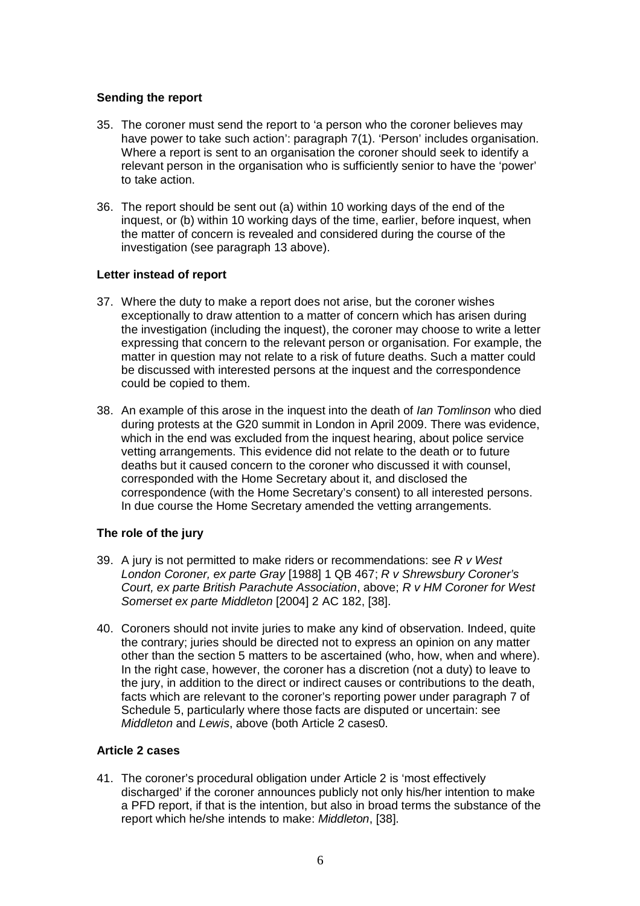# **Sending the report**

- 35. The coroner must send the report to 'a person who the coroner believes may have power to take such action': paragraph 7(1). 'Person' includes organisation. Where a report is sent to an organisation the coroner should seek to identify a relevant person in the organisation who is sufficiently senior to have the 'power' to take action.
- 36. The report should be sent out (a) within 10 working days of the end of the inquest, or (b) within 10 working days of the time, earlier, before inquest, when the matter of concern is revealed and considered during the course of the investigation (see paragraph 13 above).

# **Letter instead of report**

- 37. Where the duty to make a report does not arise, but the coroner wishes exceptionally to draw attention to a matter of concern which has arisen during the investigation (including the inquest), the coroner may choose to write a letter expressing that concern to the relevant person or organisation. For example, the matter in question may not relate to a risk of future deaths. Such a matter could be discussed with interested persons at the inquest and the correspondence could be copied to them.
- 38. An example of this arose in the inquest into the death of *Ian Tomlinson* who died during protests at the G20 summit in London in April 2009. There was evidence, which in the end was excluded from the inquest hearing, about police service vetting arrangements. This evidence did not relate to the death or to future deaths but it caused concern to the coroner who discussed it with counsel, corresponded with the Home Secretary about it, and disclosed the correspondence (with the Home Secretary's consent) to all interested persons. In due course the Home Secretary amended the vetting arrangements.

# **The role of the jury**

- 39. A jury is not permitted to make riders or recommendations: see *R v West London Coroner, ex parte Gray* [1988] 1 QB 467; *R v Shrewsbury Coroner's Court, ex parte British Parachute Association*, above; *R v HM Coroner for West Somerset ex parte Middleton* [2004] 2 AC 182, [38].
- 40. Coroners should not invite juries to make any kind of observation. Indeed, quite the contrary; juries should be directed not to express an opinion on any matter other than the section 5 matters to be ascertained (who, how, when and where). In the right case, however, the coroner has a discretion (not a duty) to leave to the jury, in addition to the direct or indirect causes or contributions to the death, facts which are relevant to the coroner's reporting power under paragraph 7 of Schedule 5, particularly where those facts are disputed or uncertain: see *Middleton* and *Lewis*, above (both Article 2 cases0.

# **Article 2 cases**

41. The coroner's procedural obligation under Article 2 is 'most effectively discharged' if the coroner announces publicly not only his/her intention to make a PFD report, if that is the intention, but also in broad terms the substance of the report which he/she intends to make: *Middleton*, [38].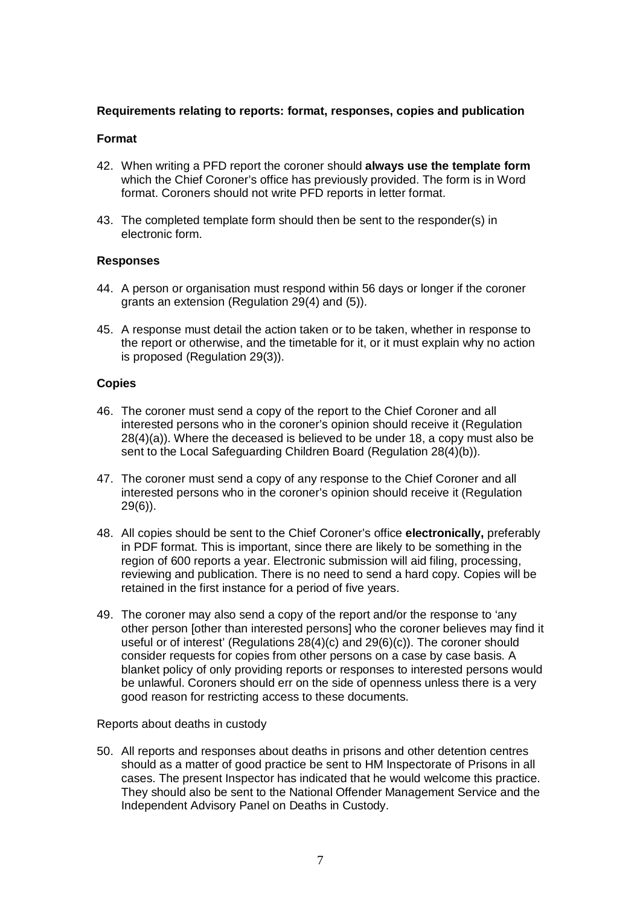# **Requirements relating to reports: format, responses, copies and publication**

### **Format**

- 42. When writing a PFD report the coroner should **always use the template form** which the Chief Coroner's office has previously provided. The form is in Word format. Coroners should not write PFD reports in letter format.
- 43. The completed template form should then be sent to the responder(s) in electronic form.

### **Responses**

- 44. A person or organisation must respond within 56 days or longer if the coroner grants an extension (Regulation 29(4) and (5)).
- 45. A response must detail the action taken or to be taken, whether in response to the report or otherwise, and the timetable for it, or it must explain why no action is proposed (Regulation 29(3)).

### **Copies**

- 46. The coroner must send a copy of the report to the Chief Coroner and all interested persons who in the coroner's opinion should receive it (Regulation 28(4)(a)). Where the deceased is believed to be under 18, a copy must also be sent to the Local Safeguarding Children Board (Regulation 28(4)(b)).
- 47. The coroner must send a copy of any response to the Chief Coroner and all interested persons who in the coroner's opinion should receive it (Regulation 29(6)).
- 48. All copies should be sent to the Chief Coroner's office **electronically,** preferably in PDF format. This is important, since there are likely to be something in the region of 600 reports a year. Electronic submission will aid filing, processing, reviewing and publication. There is no need to send a hard copy. Copies will be retained in the first instance for a period of five years.
- 49. The coroner may also send a copy of the report and/or the response to 'any other person [other than interested persons] who the coroner believes may find it useful or of interest' (Regulations 28(4)(c) and 29(6)(c)). The coroner should consider requests for copies from other persons on a case by case basis. A blanket policy of only providing reports or responses to interested persons would be unlawful. Coroners should err on the side of openness unless there is a very good reason for restricting access to these documents.

Reports about deaths in custody

50. All reports and responses about deaths in prisons and other detention centres should as a matter of good practice be sent to HM Inspectorate of Prisons in all cases. The present Inspector has indicated that he would welcome this practice. They should also be sent to the National Offender Management Service and the Independent Advisory Panel on Deaths in Custody.